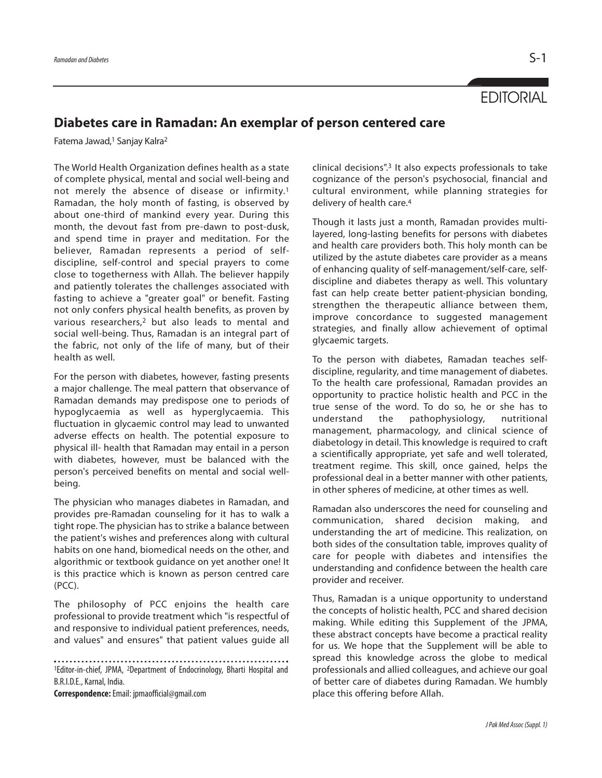**EDITORIAL** 

## **Diabetes care in Ramadan: An exemplar of person centered care**

Fatema Jawad, <sup>1</sup> Sanjay Kalra2

The World Health Organization defines health as a state of complete physical, mental and social well-being and not merely the absence of disease or infirmity.1 Ramadan, the holy month of fasting, is observed by about one-third of mankind every year. During this month, the devout fast from pre-dawn to post-dusk, and spend time in prayer and meditation. For the believer, Ramadan represents a period of selfdiscipline, self-control and special prayers to come close to togetherness with Allah. The believer happily and patiently tolerates the challenges associated with fasting to achieve a "greater goal" or benefit. Fasting not only confers physical health benefits, as proven by various researchers,2 but also leads to mental and social well-being. Thus, Ramadan is an integral part of the fabric, not only of the life of many, but of their health as well.

For the person with diabetes, however, fasting presents a major challenge. The meal pattern that observance of Ramadan demands may predispose one to periods of hypoglycaemia as well as hyperglycaemia. This fluctuation in glycaemic control may lead to unwanted adverse effects on health. The potential exposure to physical ill- health that Ramadan may entail in a person with diabetes, however, must be balanced with the person's perceived benefits on mental and social wellbeing.

The physician who manages diabetes in Ramadan, and provides pre-Ramadan counseling for it has to walk a tight rope. The physician has to strike a balance between the patient's wishes and preferences along with cultural habits on one hand, biomedical needs on the other, and algorithmic or textbook guidance on yet another one! It is this practice which is known as person centred care (PCC).

The philosophy of PCC enjoins the health care professional to provide treatment which "is respectful of and responsive to individual patient preferences, needs, and values" and ensures" that patient values guide all

1Editor-in-chief, JPMA, 2Department of Endocrinology, Bharti Hospital and B.R.I.D.E., Karnal, India.

**Correspondence:**Email: jpmaofficial@gmail.com

clinical decisions". <sup>3</sup> It also expects professionals to take cognizance of the person's psychosocial, financial and cultural environment, while planning strategies for delivery of health care. 4

Though it lasts just a month, Ramadan provides multilayered, long-lasting benefits for persons with diabetes and health care providers both. This holy month can be utilized by the astute diabetes care provider as a means of enhancing quality of self-management/self-care, selfdiscipline and diabetes therapy as well. This voluntary fast can help create better patient-physician bonding, strengthen the therapeutic alliance between them, improve concordance to suggested management strategies, and finally allow achievement of optimal glycaemic targets.

To the person with diabetes, Ramadan teaches selfdiscipline, regularity, and time management of diabetes. To the health care professional, Ramadan provides an opportunity to practice holistic health and PCC in the true sense of the word. To do so, he or she has to understand the pathophysiology, nutritional management, pharmacology, and clinical science of diabetology in detail. This knowledge is required to craft a scientifically appropriate, yet safe and well tolerated, treatment regime. This skill, once gained, helps the professional deal in a better manner with other patients, in other spheres of medicine, at other times as well.

Ramadan also underscores the need for counseling and communication, shared decision making, and understanding the art of medicine. This realization, on both sides of the consultation table, improves quality of care for people with diabetes and intensifies the understanding and confidence between the health care provider and receiver.

Thus, Ramadan is a unique opportunity to understand the concepts of holistic health, PCC and shared decision making. While editing this Supplement of the JPMA, these abstract concepts have become a practical reality for us. We hope that the Supplement will be able to spread this knowledge across the globe to medical professionals and allied colleagues, and achieve our goal of better care of diabetes during Ramadan. We humbly place this offering before Allah.